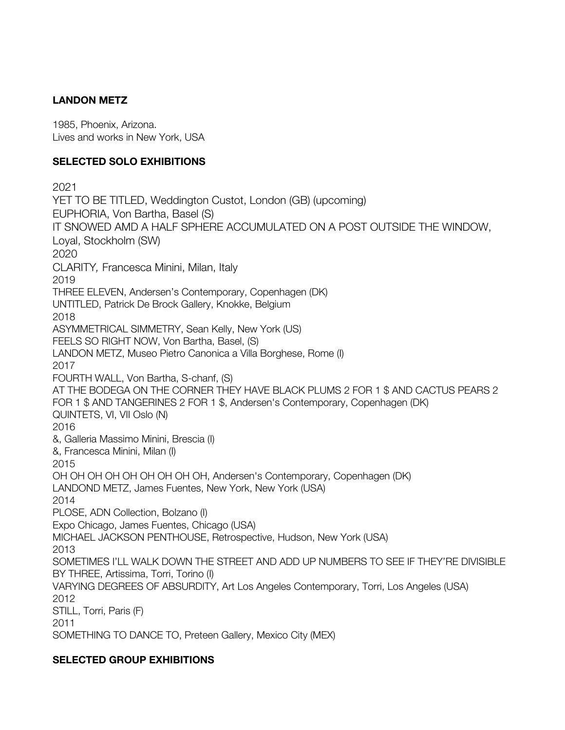# **LANDON METZ**

1985, Phoenix, Arizona. Lives and works in New York, USA

# **SELECTED SOLO EXHIBITIONS**

2021 YET TO BE TITLED, Weddington Custot, London (GB) (upcoming) EUPHORIA, Von Bartha, Basel (S) IT SNOWED AMD A HALF SPHERE ACCUMULATED ON A POST OUTSIDE THE WINDOW, Loyal, Stockholm (SW) 2020 CLARITY*,* Francesca Minini, Milan, Italy 2019 THREE ELEVEN, Andersen's Contemporary, Copenhagen (DK) UNTITLED, Patrick De Brock Gallery, Knokke, Belgium 2018 ASYMMETRICAL SIMMETRY, Sean Kelly, New York (US) FEELS SO RIGHT NOW, Von Bartha, Basel, (S) LANDON METZ, Museo Pietro Canonica a Villa Borghese, Rome (I) 2017 FOURTH WALL, Von Bartha, S-chanf, (S) AT THE BODEGA ON THE CORNER THEY HAVE BLACK PLUMS 2 FOR 1 \$ AND CACTUS PEARS 2 FOR 1 \$ AND TANGERINES 2 FOR 1 \$, Andersen's Contemporary, Copenhagen (DK) QUINTETS, VI, VII Oslo (N) 2016 &, Galleria Massimo Minini, Brescia (I) &, Francesca Minini, Milan (I) 2015 OH OH OH OH OH OH OH OH OH, Andersen's Contemporary, Copenhagen (DK) LANDOND METZ, James Fuentes, New York, New York (USA) 2014 PLOSE, ADN Collection, Bolzano (I) Expo Chicago, James Fuentes, Chicago (USA) MICHAEL JACKSON PENTHOUSE, Retrospective, Hudson, New York (USA) 2013 SOMETIMES I'LL WALK DOWN THE STREET AND ADD UP NUMBERS TO SEE IF THEY'RE DIVISIBLE BY THREE, Artissima, Torri, Torino (I) VARYING DEGREES OF ABSURDITY, Art Los Angeles Contemporary, Torri, Los Angeles (USA) 2012 STILL, Torri, Paris (F) 2011 SOMETHING TO DANCE TO, Preteen Gallery, Mexico City (MEX)

### **SELECTED GROUP EXHIBITIONS**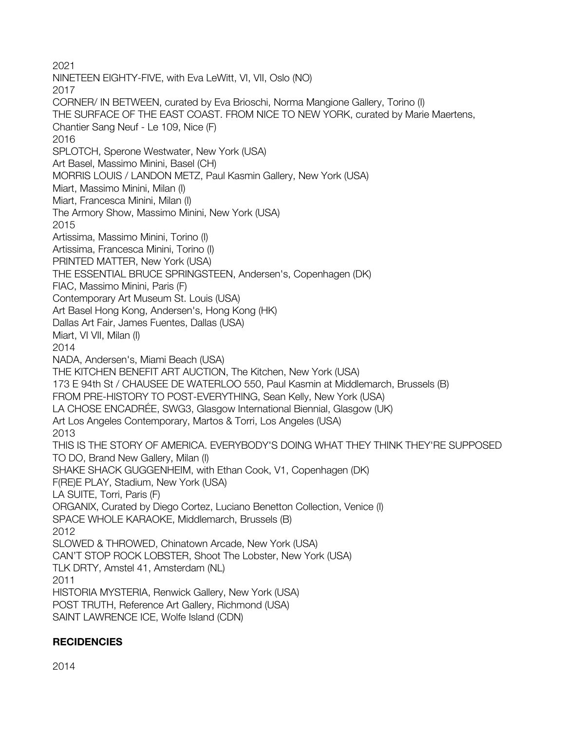2021 NINETEEN EIGHTY-FIVE, with Eva LeWitt, VI, VII, Oslo (NO) 2017 CORNER/ IN BETWEEN, curated by Eva Brioschi, Norma Mangione Gallery, Torino (I) THE SURFACE OF THE EAST COAST. FROM NICE TO NEW YORK, curated by Marie Maertens, Chantier Sang Neuf - Le 109, Nice (F) 2016 SPLOTCH, Sperone Westwater, New York (USA) Art Basel, Massimo Minini, Basel (CH) MORRIS LOUIS / LANDON METZ, Paul Kasmin Gallery, New York (USA) Miart, Massimo Minini, Milan (I) Miart, Francesca Minini, Milan (I) The Armory Show, Massimo Minini, New York (USA) 2015 Artissima, Massimo Minini, Torino (I) Artissima, Francesca Minini, Torino (I) PRINTED MATTER, New York (USA) THE ESSENTIAL BRUCE SPRINGSTEEN, Andersen's, Copenhagen (DK) FIAC, Massimo Minini, Paris (F) Contemporary Art Museum St. Louis (USA) Art Basel Hong Kong, Andersen's, Hong Kong (HK) Dallas Art Fair, James Fuentes, Dallas (USA) Miart, VI VII, Milan (I) 2014 NADA, Andersen's, Miami Beach (USA) THE KITCHEN BENEFIT ART AUCTION, The Kitchen, New York (USA) 173 E 94th St / CHAUSEE DE WATERLOO 550, Paul Kasmin at Middlemarch, Brussels (B) FROM PRE-HISTORY TO POST-EVERYTHING, Sean Kelly, New York (USA) LA CHOSE ENCADRÉE, SWG3, Glasgow International Biennial, Glasgow (UK) Art Los Angeles Contemporary, Martos & Torri, Los Angeles (USA) 2013 THIS IS THE STORY OF AMERICA. EVERYBODY'S DOING WHAT THEY THINK THEY'RE SUPPOSED TO DO, Brand New Gallery, Milan (I) SHAKE SHACK GUGGENHEIM, with Ethan Cook, V1, Copenhagen (DK) F(RE)E PLAY, Stadium, New York (USA) LA SUITE, Torri, Paris (F) ORGANIX, Curated by Diego Cortez, Luciano Benetton Collection, Venice (I) SPACE WHOLE KARAOKE, Middlemarch, Brussels (B) 2012 SLOWED & THROWED, Chinatown Arcade, New York (USA) CAN'T STOP ROCK LOBSTER, Shoot The Lobster, New York (USA) TLK DRTY, Amstel 41, Amsterdam (NL) 2011 HISTORIA MYSTERIA, Renwick Gallery, New York (USA) POST TRUTH, Reference Art Gallery, Richmond (USA) SAINT LAWRENCE ICE, Wolfe Island (CDN)

### **RECIDENCIES**

2014